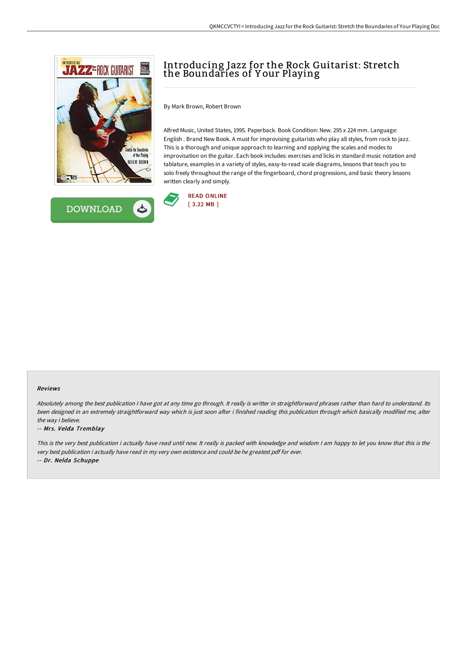



## Introducing Jazz for the Rock Guitarist: Stretch the Boundaries of Y our Playing

By Mark Brown, Robert Brown

Alfred Music, United States, 1995. Paperback. Book Condition: New. 295 x 224 mm. Language: English . Brand New Book. A must for improvising guitarists who play all styles, from rock to jazz. This is a thorough and unique approach to learning and applying the scales and modes to improvisation on the guitar. Each book includes: exercises and licks in standard music notation and tablature, examples in a variety of styles, easy-to-read scale diagrams, lessons that teach you to solo freely throughout the range of the fingerboard, chord progressions, and basic theory lessons written clearly and simply.



## Reviews

Absolutely among the best publication I have got at any time go through. It really is writter in straightforward phrases rather than hard to understand. Its been designed in an extremely straightforward way which is just soon after i finished reading this publication through which basically modified me, alter the way i believe.

## -- Mrs. Velda Tremblay

This is the very best publication i actually have read until now. It really is packed with knowledge and wisdom I am happy to let you know that this is the very best publication i actually have read in my very own existence and could be he greatest pdf for ever. -- Dr. Nelda Schuppe